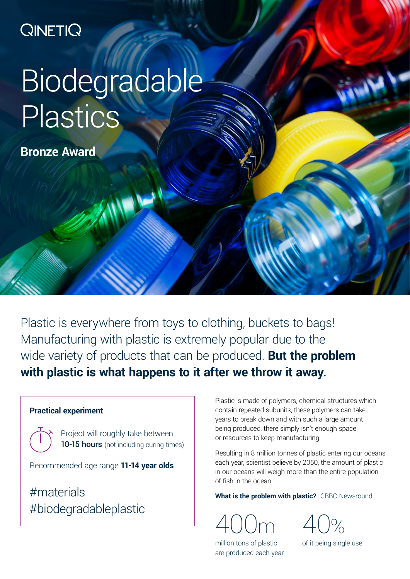## **QINETIQ**

# Biodegradable Plastics

**Bronze Award**

Plastic is everywhere from toys to clothing, buckets to bags! Manufacturing with plastic is extremely popular due to the wide variety of products that can be produced. **But the problem with plastic is what happens to it after we throw it away.**

#### **Practical experiment**

Project will roughly take between 10-15 hours (not including curing times)

Recommended age range **11-14 year olds**

#materials #biodegradableplastic

Plastic is made of polymers, chemical structures which contain repeated subunits, these polymers can take years to break down and with such a large amount being produced, there simply isn't enough space or resources to keep manufacturing.

Resulting in 8 million tonnes of plastic entering our oceans each year, scientist believe by 2050, the amount of plastic in our oceans will weigh more than the entire population of fish in the ocean.

**[What is the problem with plastic?](https://www.bbc.co.uk/newsround/42810179)** CBBC Newsround

400m

40%

million tons of plastic are produced each year of it being single use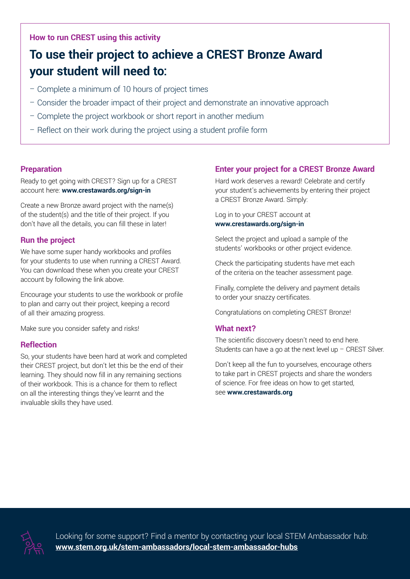#### **How to run CREST using this activity**

### **To use their project to achieve a CREST Bronze Award your student will need to:**

- Complete a minimum of 10 hours of project times
- Consider the broader impact of their project and demonstrate an innovative approach
- Complete the project workbook or short report in another medium
- Reflect on their work during the project using a student profile form

#### **Preparation**

Ready to get going with CREST? Sign up for a CREST account here: **www.crestawards.org/sign-in**

Create a new Bronze award project with the name(s) of the student(s) and the title of their project. If you don't have all the details, you can fill these in later!

#### **Run the project**

We have some super handy workbooks and profiles for your students to use when running a CREST Award. You can download these when you create your CREST account by following the link above.

Encourage your students to use the workbook or profile to plan and carry out their project, keeping a record of all their amazing progress.

Make sure you consider safety and risks!

#### **Reflection**

So, your students have been hard at work and completed their CREST project, but don't let this be the end of their learning. They should now fill in any remaining sections of their workbook. This is a chance for them to reflect on all the interesting things they've learnt and the invaluable skills they have used.

#### **Enter your project for a CREST Bronze Award**

Hard work deserves a reward! Celebrate and certify your student's achievements by entering their project a CREST Bronze Award. Simply:

Log in to your CREST account at **www.crestawards.org/sign-in**

Select the project and upload a sample of the students' workbooks or other project evidence.

Check the participating students have met each of the criteria on the teacher assessment page.

Finally, complete the delivery and payment details to order your snazzy certificates.

Congratulations on completing CREST Bronze!

#### **What next?**

The scientific discovery doesn't need to end here. Students can have a go at the next level up – CREST Silver.

Don't keep all the fun to yourselves, encourage others to take part in CREST projects and share the wonders of science. For free ideas on how to get started, see **www.crestawards.org**



Looking for some support? Find a mentor by contacting your local STEM Ambassador hub: **www.stem.org.uk/stem-ambassadors/local-stem-ambassador-hubs**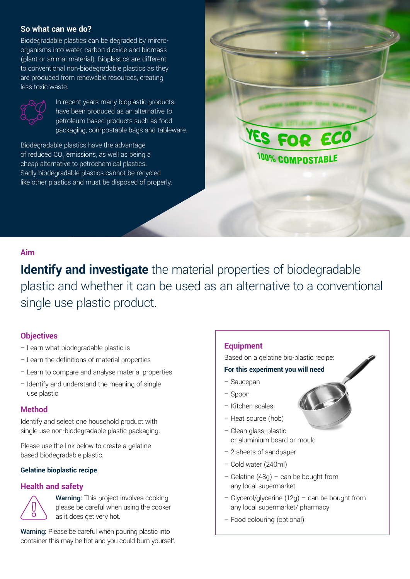#### **So what can we do?**

Biodegradable plastics can be degraded by mircroorganisms into water, carbon dioxide and biomass (plant or animal material). Bioplastics are different to conventional non-biodegradable plastics as they are produced from renewable resources, creating less toxic waste.



In recent years many bioplastic products have been produced as an alternative to petroleum based products such as food packaging, compostable bags and tableware.

Biodegradable plastics have the advantage of reduced CO $_{_2}$  emissions, as well as being a cheap alternative to petrochemical plastics. Sadly biodegradable plastics cannot be recycled like other plastics and must be disposed of properly.

#### **Aim**

**Identify and investigate** the material properties of biodegradable plastic and whether it can be used as an alternative to a conventional single use plastic product.

#### **Objectives**

- Learn what biodegradable plastic is
- Learn the definitions of material properties
- Learn to compare and analyse material properties
- Identify and understand the meaning of single use plastic

#### **Method**

Identify and select one household product with single use non-biodegradable plastic packaging.

Please use the link below to create a gelatine based biodegradable plastic.

#### **[Gelatine bioplastic recipe](http://fabtextiles.org/wp-content/uploads/2017/06/BIOPLASTIC-RECIPE.pdf)**

#### **Health and safety**



Warning: This project involves cooking please be careful when using the cooker as it does get very hot.

Warning: Please be careful when pouring plastic into container this may be hot and you could burn yourself.

#### **Equipment**

Based on a gelatine bio-plastic recipe:

ECO

<sup>100%</sup> COMPOSTABLE

#### **For this experiment you will need**

- Saucepan
- Spoon
- Kitchen scales
- Heat source (hob)
- Clean glass, plastic or aluminium board or mould
- 2 sheets of sandpaper
- Cold water (240ml)
- Gelatine (48g) can be bought from any local supermarket
- Glycerol/glycerine (12g) can be bought from any local supermarket/ pharmacy
- Food colouring (optional)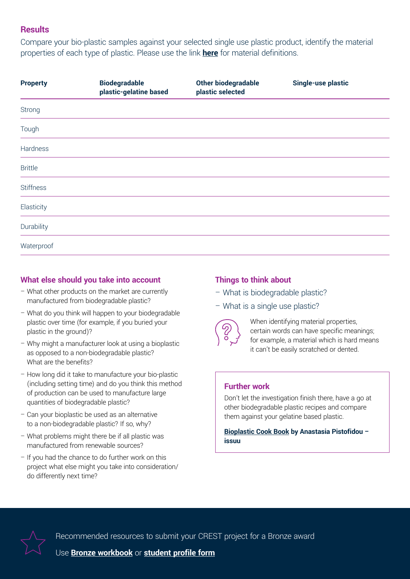#### **Results**

Compare your bio-plastic samples against your selected single use plastic product, identify the material properties of each type of plastic. Please use the link **[here](https://www.the-warren.org/ALevelRevision/engineering/materials1.htm)** for material definitions.

| <b>Biodegradable</b><br>plastic-gelatine based | Other biodegradable<br>plastic selected | <b>Single-use plastic</b> |
|------------------------------------------------|-----------------------------------------|---------------------------|
|                                                |                                         |                           |
|                                                |                                         |                           |
|                                                |                                         |                           |
|                                                |                                         |                           |
|                                                |                                         |                           |
|                                                |                                         |                           |
|                                                |                                         |                           |
|                                                |                                         |                           |
|                                                |                                         |                           |

#### **What else should you take into account**

- What other products on the market are currently manufactured from biodegradable plastic?
- What do you think will happen to your biodegradable plastic over time (for example, if you buried your plastic in the ground)?
- Why might a manufacturer look at using a bioplastic as opposed to a non-biodegradable plastic? What are the benefits?
- How long did it take to manufacture your bio-plastic (including setting time) and do you think this method of production can be used to manufacture large quantities of biodegradable plastic?
- Can your bioplastic be used as an alternative to a non-biodegradable plastic? If so, why?
- What problems might there be if all plastic was manufactured from renewable sources?
- If you had the chance to do further work on this project what else might you take into consideration/ do differently next time?

#### **Things to think about**

- What is biodegradable plastic?
- What is a single use plastic?



When identifying material properties, certain words can have specific meanings; for example, a material which is hard means it can't be easily scratched or dented.

#### **Further work**

Don't let the investigation finish there, have a go at other biodegradable plastic recipes and compare them against your gelatine based plastic.

**[Bioplastic Cook Book](https://issuu.com/nat_arc/docs/bioplastic_cook_book_3) by Anastasia Pistofidou – issuu**



Recommended resources to submit your CREST project for a Bronze award